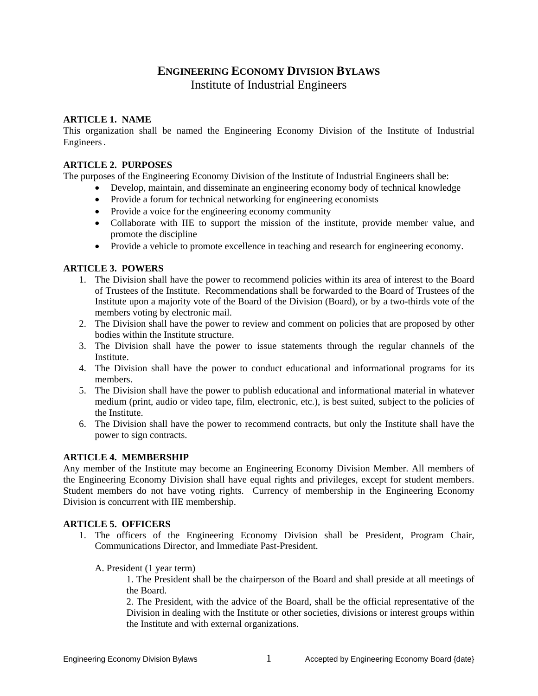# **ENGINEERING ECONOMY DIVISION BYLAWS** Institute of Industrial Engineers

## **ARTICLE 1. NAME**

This organization shall be named the Engineering Economy Division of the Institute of Industrial Engineers.

## **ARTICLE 2. PURPOSES**

The purposes of the Engineering Economy Division of the Institute of Industrial Engineers shall be:

- Develop, maintain, and disseminate an engineering economy body of technical knowledge
- Provide a forum for technical networking for engineering economists
- Provide a voice for the engineering economy community
- Collaborate with IIE to support the mission of the institute, provide member value, and promote the discipline
- Provide a vehicle to promote excellence in teaching and research for engineering economy.

# **ARTICLE 3. POWERS**

- 1. The Division shall have the power to recommend policies within its area of interest to the Board of Trustees of the Institute. Recommendations shall be forwarded to the Board of Trustees of the Institute upon a majority vote of the Board of the Division (Board), or by a two-thirds vote of the members voting by electronic mail.
- 2. The Division shall have the power to review and comment on policies that are proposed by other bodies within the Institute structure.
- 3. The Division shall have the power to issue statements through the regular channels of the Institute.
- 4. The Division shall have the power to conduct educational and informational programs for its members.
- 5. The Division shall have the power to publish educational and informational material in whatever medium (print, audio or video tape, film, electronic, etc.), is best suited, subject to the policies of the Institute.
- 6. The Division shall have the power to recommend contracts, but only the Institute shall have the power to sign contracts.

# **ARTICLE 4. MEMBERSHIP**

Any member of the Institute may become an Engineering Economy Division Member. All members of the Engineering Economy Division shall have equal rights and privileges, except for student members. Student members do not have voting rights. Currency of membership in the Engineering Economy Division is concurrent with IIE membership.

## **ARTICLE 5. OFFICERS**

- 1. The officers of the Engineering Economy Division shall be President, Program Chair, Communications Director, and Immediate Past-President.
	- A. President (1 year term)

1. The President shall be the chairperson of the Board and shall preside at all meetings of the Board.

2. The President, with the advice of the Board, shall be the official representative of the Division in dealing with the Institute or other societies, divisions or interest groups within the Institute and with external organizations.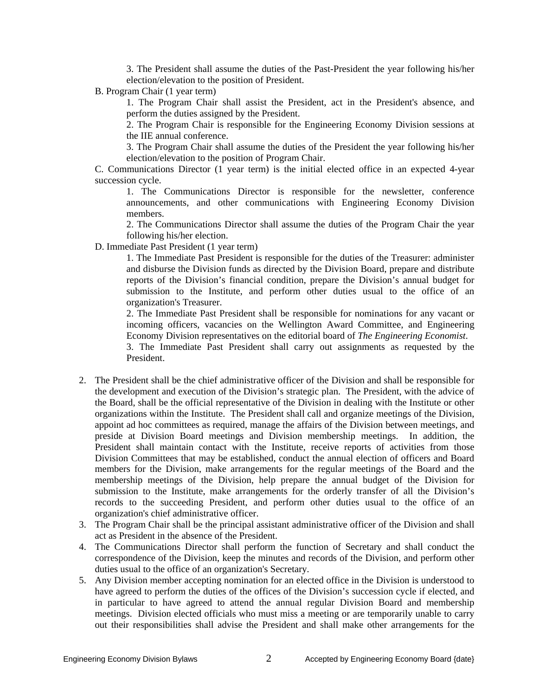3. The President shall assume the duties of the Past-President the year following his/her election/elevation to the position of President.

B. Program Chair (1 year term)

1. The Program Chair shall assist the President, act in the President's absence, and perform the duties assigned by the President.

2. The Program Chair is responsible for the Engineering Economy Division sessions at the IIE annual conference.

3. The Program Chair shall assume the duties of the President the year following his/her election/elevation to the position of Program Chair.

C. Communications Director (1 year term) is the initial elected office in an expected 4-year succession cycle.

1. The Communications Director is responsible for the newsletter, conference announcements, and other communications with Engineering Economy Division members.

2. The Communications Director shall assume the duties of the Program Chair the year following his/her election.

D. Immediate Past President (1 year term)

1. The Immediate Past President is responsible for the duties of the Treasurer: administer and disburse the Division funds as directed by the Division Board, prepare and distribute reports of the Division's financial condition, prepare the Division's annual budget for submission to the Institute, and perform other duties usual to the office of an organization's Treasurer.

2. The Immediate Past President shall be responsible for nominations for any vacant or incoming officers, vacancies on the Wellington Award Committee, and Engineering Economy Division representatives on the editorial board of *The Engineering Economist*.

3. The Immediate Past President shall carry out assignments as requested by the President.

- 2. The President shall be the chief administrative officer of the Division and shall be responsible for the development and execution of the Division's strategic plan. The President, with the advice of the Board, shall be the official representative of the Division in dealing with the Institute or other organizations within the Institute. The President shall call and organize meetings of the Division, appoint ad hoc committees as required, manage the affairs of the Division between meetings, and preside at Division Board meetings and Division membership meetings. In addition, the President shall maintain contact with the Institute, receive reports of activities from those Division Committees that may be established, conduct the annual election of officers and Board members for the Division, make arrangements for the regular meetings of the Board and the membership meetings of the Division, help prepare the annual budget of the Division for submission to the Institute, make arrangements for the orderly transfer of all the Division's records to the succeeding President, and perform other duties usual to the office of an organization's chief administrative officer.
- 3. The Program Chair shall be the principal assistant administrative officer of the Division and shall act as President in the absence of the President.
- 4. The Communications Director shall perform the function of Secretary and shall conduct the correspondence of the Division, keep the minutes and records of the Division, and perform other duties usual to the office of an organization's Secretary.
- 5. Any Division member accepting nomination for an elected office in the Division is understood to have agreed to perform the duties of the offices of the Division's succession cycle if elected, and in particular to have agreed to attend the annual regular Division Board and membership meetings. Division elected officials who must miss a meeting or are temporarily unable to carry out their responsibilities shall advise the President and shall make other arrangements for the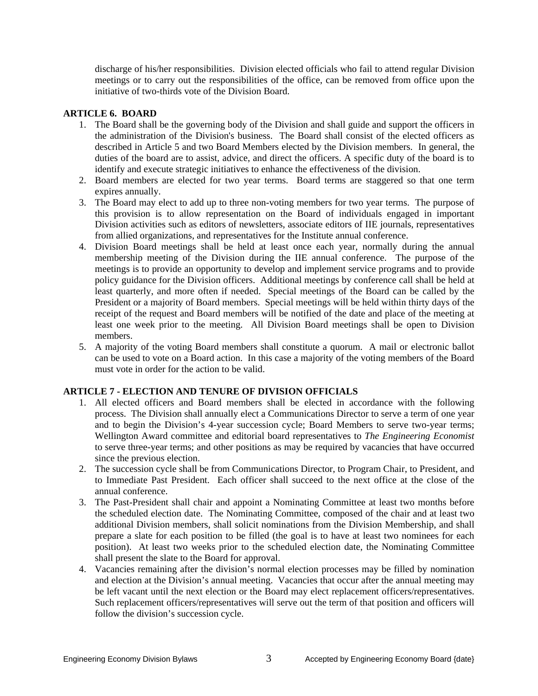discharge of his/her responsibilities. Division elected officials who fail to attend regular Division meetings or to carry out the responsibilities of the office, can be removed from office upon the initiative of two-thirds vote of the Division Board.

## **ARTICLE 6. BOARD**

- 1. The Board shall be the governing body of the Division and shall guide and support the officers in the administration of the Division's business. The Board shall consist of the elected officers as described in Article 5 and two Board Members elected by the Division members. In general, the duties of the board are to assist, advice, and direct the officers. A specific duty of the board is to identify and execute strategic initiatives to enhance the effectiveness of the division.
- 2. Board members are elected for two year terms. Board terms are staggered so that one term expires annually.
- 3. The Board may elect to add up to three non-voting members for two year terms. The purpose of this provision is to allow representation on the Board of individuals engaged in important Division activities such as editors of newsletters, associate editors of IIE journals, representatives from allied organizations, and representatives for the Institute annual conference.
- 4. Division Board meetings shall be held at least once each year, normally during the annual membership meeting of the Division during the IIE annual conference. The purpose of the meetings is to provide an opportunity to develop and implement service programs and to provide policy guidance for the Division officers. Additional meetings by conference call shall be held at least quarterly, and more often if needed. Special meetings of the Board can be called by the President or a majority of Board members. Special meetings will be held within thirty days of the receipt of the request and Board members will be notified of the date and place of the meeting at least one week prior to the meeting. All Division Board meetings shall be open to Division members.
- 5. A majority of the voting Board members shall constitute a quorum. A mail or electronic ballot can be used to vote on a Board action. In this case a majority of the voting members of the Board must vote in order for the action to be valid.

# **ARTICLE 7 - ELECTION AND TENURE OF DIVISION OFFICIALS**

- 1. All elected officers and Board members shall be elected in accordance with the following process. The Division shall annually elect a Communications Director to serve a term of one year and to begin the Division's 4-year succession cycle; Board Members to serve two-year terms; Wellington Award committee and editorial board representatives to *The Engineering Economist* to serve three-year terms; and other positions as may be required by vacancies that have occurred since the previous election.
- 2. The succession cycle shall be from Communications Director, to Program Chair, to President, and to Immediate Past President. Each officer shall succeed to the next office at the close of the annual conference.
- 3. The Past-President shall chair and appoint a Nominating Committee at least two months before the scheduled election date. The Nominating Committee, composed of the chair and at least two additional Division members, shall solicit nominations from the Division Membership, and shall prepare a slate for each position to be filled (the goal is to have at least two nominees for each position). At least two weeks prior to the scheduled election date, the Nominating Committee shall present the slate to the Board for approval.
- 4. Vacancies remaining after the division's normal election processes may be filled by nomination and election at the Division's annual meeting. Vacancies that occur after the annual meeting may be left vacant until the next election or the Board may elect replacement officers/representatives. Such replacement officers/representatives will serve out the term of that position and officers will follow the division's succession cycle.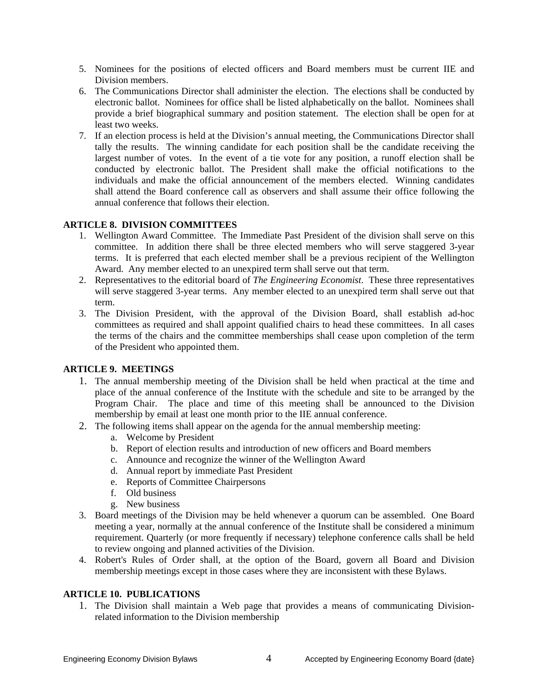- 5. Nominees for the positions of elected officers and Board members must be current IIE and Division members.
- 6. The Communications Director shall administer the election. The elections shall be conducted by electronic ballot. Nominees for office shall be listed alphabetically on the ballot. Nominees shall provide a brief biographical summary and position statement. The election shall be open for at least two weeks.
- 7. If an election process is held at the Division's annual meeting, the Communications Director shall tally the results. The winning candidate for each position shall be the candidate receiving the largest number of votes. In the event of a tie vote for any position, a runoff election shall be conducted by electronic ballot. The President shall make the official notifications to the individuals and make the official announcement of the members elected. Winning candidates shall attend the Board conference call as observers and shall assume their office following the annual conference that follows their election.

## **ARTICLE 8. DIVISION COMMITTEES**

- 1. Wellington Award Committee. The Immediate Past President of the division shall serve on this committee. In addition there shall be three elected members who will serve staggered 3-year terms. It is preferred that each elected member shall be a previous recipient of the Wellington Award. Any member elected to an unexpired term shall serve out that term.
- 2. Representatives to the editorial board of *The Engineering Economist*. These three representatives will serve staggered 3-year terms. Any member elected to an unexpired term shall serve out that term.
- 3. The Division President, with the approval of the Division Board, shall establish ad-hoc committees as required and shall appoint qualified chairs to head these committees. In all cases the terms of the chairs and the committee memberships shall cease upon completion of the term of the President who appointed them.

## **ARTICLE 9. MEETINGS**

- 1. The annual membership meeting of the Division shall be held when practical at the time and place of the annual conference of the Institute with the schedule and site to be arranged by the Program Chair. The place and time of this meeting shall be announced to the Division membership by email at least one month prior to the IIE annual conference.
- 2. The following items shall appear on the agenda for the annual membership meeting:
	- a. Welcome by President
	- b. Report of election results and introduction of new officers and Board members
	- c. Announce and recognize the winner of the Wellington Award
	- d. Annual report by immediate Past President
	- e. Reports of Committee Chairpersons
	- f. Old business
	- g. New business
- 3. Board meetings of the Division may be held whenever a quorum can be assembled. One Board meeting a year, normally at the annual conference of the Institute shall be considered a minimum requirement. Quarterly (or more frequently if necessary) telephone conference calls shall be held to review ongoing and planned activities of the Division.
- 4. Robert's Rules of Order shall, at the option of the Board, govern all Board and Division membership meetings except in those cases where they are inconsistent with these Bylaws.

## **ARTICLE 10. PUBLICATIONS**

1. The Division shall maintain a Web page that provides a means of communicating Divisionrelated information to the Division membership